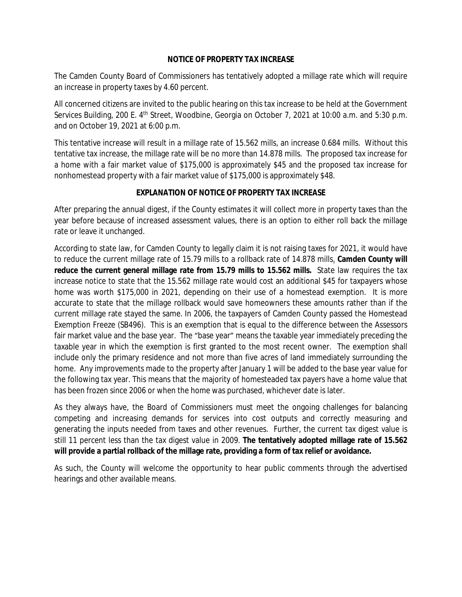## **NOTICE OF PROPERTY TAX INCREASE**

The Camden County Board of Commissioners has tentatively adopted a millage rate which will require an increase in property taxes by 4.60 percent.

All concerned citizens are invited to the public hearing on this tax increase to be held at the Government Services Building, 200 E. 4<sup>th</sup> Street, Woodbine, Georgia on October 7, 2021 at 10:00 a.m. and 5:30 p.m. and on October 19, 2021 at 6:00 p.m.

This tentative increase will result in a millage rate of 15.562 mills, an increase 0.684 mills. Without this tentative tax increase, the millage rate will be no more than 14.878 mills. The proposed tax increase for a home with a fair market value of \$175,000 is approximately \$45 and the proposed tax increase for nonhomestead property with a fair market value of \$175,000 is approximately \$48.

## **EXPLANATION OF NOTICE OF PROPERTY TAX INCREASE**

After preparing the annual digest, if the County estimates it will collect more in property taxes than the year before because of increased assessment values, there is an option to either roll back the millage rate or leave it unchanged.

According to state law, for Camden County to legally claim it is not raising taxes for 2021, it would have to reduce the current millage rate of 15.79 mills to a rollback rate of 14.878 mills. **Camden County will reduce the current general millage rate from 15.79 mills to 15.562 mills.** State law requires the tax increase notice to state that the 15.562 millage rate would cost an additional \$45 for taxpayers whose home was worth \$175,000 in 2021, depending on their use of a homestead exemption. It is more accurate to state that the millage rollback would save homeowners these amounts rather than if the current millage rate stayed the same. In 2006, the taxpayers of Camden County passed the Homestead Exemption Freeze (SB496). This is an exemption that is equal to the difference between the Assessors fair market value and the base year. The "base year" means the taxable year immediately preceding the taxable year in which the exemption is first granted to the most recent owner. The exemption shall include only the primary residence and not more than five acres of land immediately surrounding the home. Any improvements made to the property after January 1 will be added to the base year value for the following tax year. This means that the majority of homesteaded tax payers have a home value that has been frozen since 2006 or when the home was purchased, whichever date is later.

As they always have, the Board of Commissioners must meet the ongoing challenges for balancing competing and increasing demands for services into cost outputs and correctly measuring and generating the inputs needed from taxes and other revenues. Further, the current tax digest value is still 11 percent less than the tax digest value in 2009. **The tentatively adopted millage rate of 15.562 will provide a partial rollback of the millage rate, providing a form of tax relief or avoidance.**

As such, the County will welcome the opportunity to hear public comments through the advertised hearings and other available means.